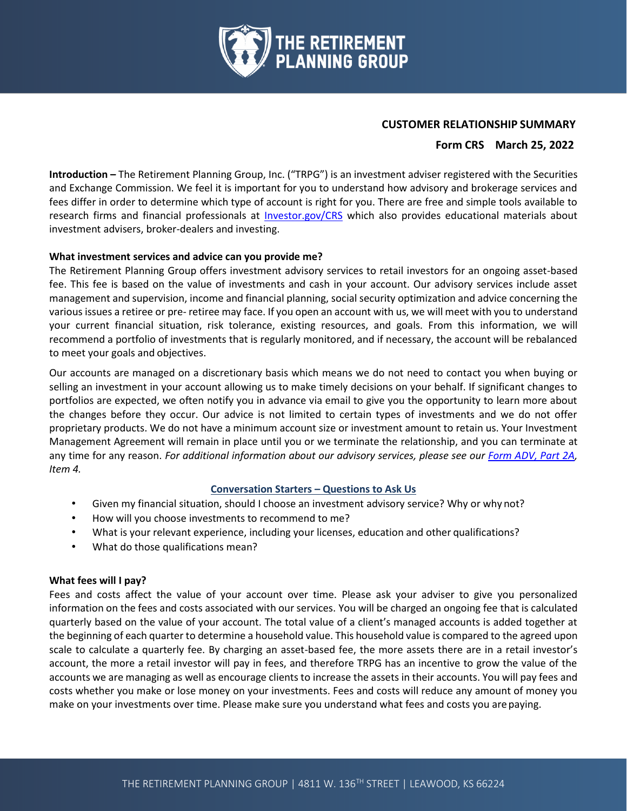

#### **CUSTOMER RELATIONSHIP SUMMARY**

### **Form CRS March 25, 2022**

**Introduction –** The Retirement Planning Group, Inc. ("TRPG") is an investment adviser registered with the Securities and Exchange Commission. We feel it is important for you to understand how advisory and brokerage services and fees differ in order to determine which type of account is right for you. There are free and simple tools available to research firms and financial professionals at [Investor.gov/CRS](https://www.investor.gov/CRS) which also provides educational materials about investment advisers, broker-dealers and investing.

#### **What investment services and advice can you provide me?**

The Retirement Planning Group offers investment advisory services to retail investors for an ongoing asset-based fee. This fee is based on the value of investments and cash in your account. Our advisory services include asset management and supervision, income and financial planning, social security optimization and advice concerning the various issues a retiree or pre- retiree may face. If you open an account with us, we will meet with you to understand your current financial situation, risk tolerance, existing resources, and goals. From this information, we will recommend a portfolio of investments that is regularly monitored, and if necessary, the account will be rebalanced to meet your goals and objectives.

Our accounts are managed on a discretionary basis which means we do not need to contact you when buying or selling an investment in your account allowing us to make timely decisions on your behalf. If significant changes to portfolios are expected, we often notify you in advance via email to give you the opportunity to learn more about the changes before they occur. Our advice is not limited to certain types of investments and we do not offer proprietary products. We do not have a minimum account size or investment amount to retain us. Your Investment Management Agreement will remain in place until you or we terminate the relationship, and you can terminate at any time for any reason. *For additional information about our advisory services, please see our [Form ADV, Part 2A,](https://www.planningretirements.com/adv-part-2/) Item 4.*

### **Conversation Starters – Questions to Ask Us**

- Given my financial situation, should I choose an investment advisory service? Why or why not?
- How will you choose investments to recommend to me?
- What is your relevant experience, including your licenses, education and other qualifications?
- What do those qualifications mean?

### **What fees will I pay?**

Fees and costs affect the value of your account over time. Please ask your adviser to give you personalized information on the fees and costs associated with our services. You will be charged an ongoing fee that is calculated quarterly based on the value of your account. The total value of a client's managed accounts is added together at the beginning of each quarter to determine a household value. This household value is compared to the agreed upon scale to calculate a quarterly fee. By charging an asset-based fee, the more assets there are in a retail investor's account, the more a retail investor will pay in fees, and therefore TRPG has an incentive to grow the value of the accounts we are managing as well as encourage clients to increase the assets in their accounts. You will pay fees and costs whether you make or lose money on your investments. Fees and costs will reduce any amount of money you make on your investments over time. Please make sure you understand what fees and costs you arepaying.